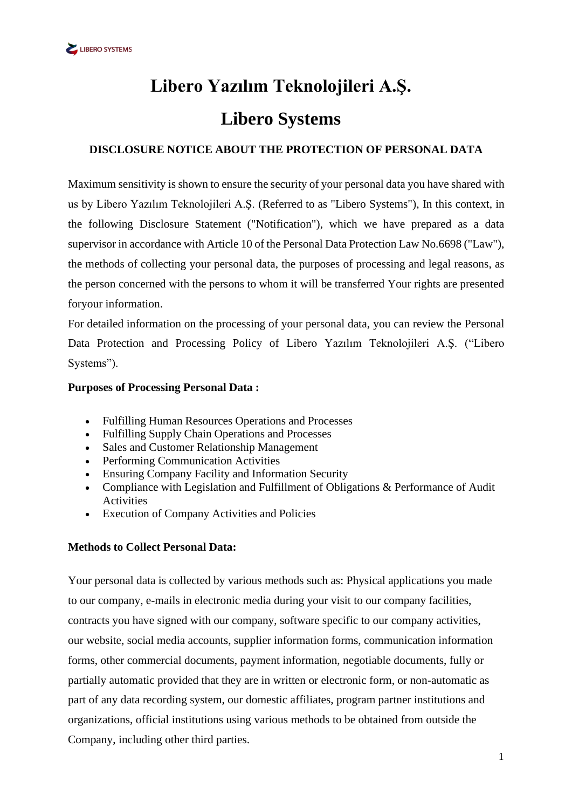# **Libero Yazılım Teknolojileri A.Ş. Libero Systems**

## **DISCLOSURE NOTICE ABOUT THE PROTECTION OF PERSONAL DATA**

Maximum sensitivity is shown to ensure the security of your personal data you have shared with us by Libero Yazılım Teknolojileri A.Ş. (Referred to as "Libero Systems"), In this context, in the following Disclosure Statement ("Notification"), which we have prepared as a data supervisor in accordance with Article 10 of the Personal Data Protection Law No.6698 ("Law"), the methods of collecting your personal data, the purposes of processing and legal reasons, as the person concerned with the persons to whom it will be transferred Your rights are presented foryour information.

For detailed information on the processing of your personal data, you can review the Personal Data Protection and Processing Policy of Libero Yazılım Teknolojileri A.Ş. ("Libero Systems").

## **Purposes of Processing Personal Data :**

- Fulfilling Human Resources Operations and Processes
- Fulfilling Supply Chain Operations and Processes
- Sales and Customer Relationship Management
- Performing Communication Activities
- Ensuring Company Facility and Information Security
- Compliance with Legislation and Fulfillment of Obligations & Performance of Audit Activities
- Execution of Company Activities and Policies

## **Methods to Collect Personal Data:**

Your personal data is collected by various methods such as: Physical applications you made to our company, e-mails in electronic media during your visit to our company facilities, contracts you have signed with our company, software specific to our company activities, our website, social media accounts, supplier information forms, communication information forms, other commercial documents, payment information, negotiable documents, fully or partially automatic provided that they are in written or electronic form, or non-automatic as part of any data recording system, our domestic affiliates, program partner institutions and organizations, official institutions using various methods to be obtained from outside the Company, including other third parties.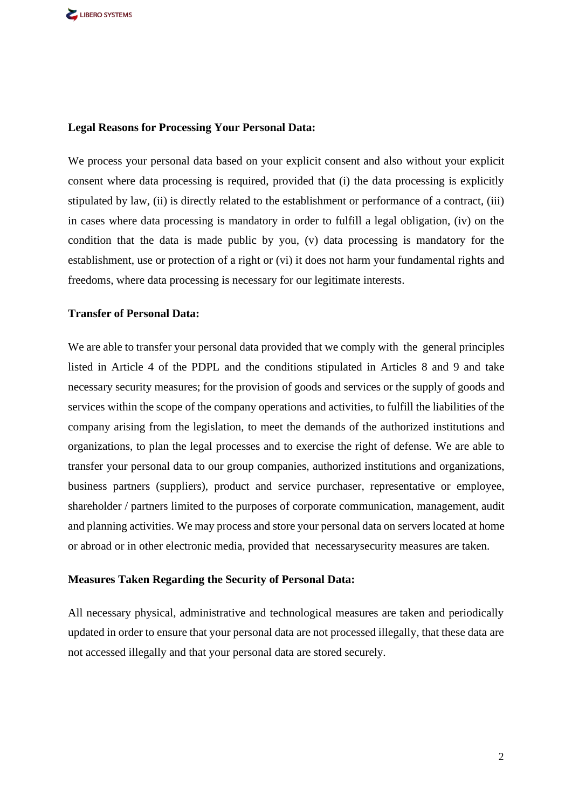#### **Legal Reasons for Processing Your Personal Data:**

We process your personal data based on your explicit consent and also without your explicit consent where data processing is required, provided that (i) the data processing is explicitly stipulated by law, (ii) is directly related to the establishment or performance of a contract, (iii) in cases where data processing is mandatory in order to fulfill a legal obligation, (iv) on the condition that the data is made public by you, (v) data processing is mandatory for the establishment, use or protection of a right or (vi) it does not harm your fundamental rights and freedoms, where data processing is necessary for our legitimate interests.

#### **Transfer of Personal Data:**

We are able to transfer your personal data provided that we comply with the general principles listed in Article 4 of the PDPL and the conditions stipulated in Articles 8 and 9 and take necessary security measures; for the provision of goods and services or the supply of goods and services within the scope of the company operations and activities, to fulfill the liabilities of the company arising from the legislation, to meet the demands of the authorized institutions and organizations, to plan the legal processes and to exercise the right of defense. We are able to transfer your personal data to our group companies, authorized institutions and organizations, business partners (suppliers), product and service purchaser, representative or employee, shareholder / partners limited to the purposes of corporate communication, management, audit and planning activities. We may process and store your personal data on servers located at home or abroad or in other electronic media, provided that necessarysecurity measures are taken.

#### **Measures Taken Regarding the Security of Personal Data:**

All necessary physical, administrative and technological measures are taken and periodically updated in order to ensure that your personal data are not processed illegally, that these data are not accessed illegally and that your personal data are stored securely.